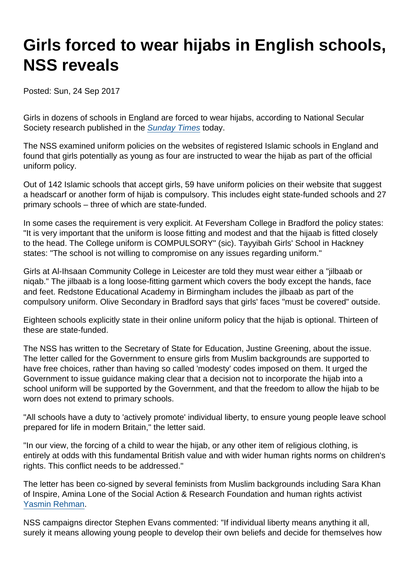## Girls forced to wear hijabs in English schools, NSS reveals

Posted: Sun, 24 Sep 2017

Girls in dozens of schools in England are forced to wear hijabs, according to National Secular Society research published in the [Sunday Times](https://www.thetimes.co.uk/edition/news/state-funded-schools-force-girls-to-wear-hijab-2g6m2pgwp) today.

The NSS examined uniform policies on the websites of registered Islamic schools in England and found that girls potentially as young as four are instructed to wear the hijab as part of the official uniform policy.

Out of 142 Islamic schools that accept girls, 59 have uniform policies on their website that suggest a headscarf or another form of hijab is compulsory. This includes eight state-funded schools and 27 primary schools – three of which are state-funded.

In some cases the requirement is very explicit. At Feversham College in Bradford the policy states: "It is very important that the uniform is loose fitting and modest and that the hijaab is fitted closely to the head. The College uniform is COMPULSORY" (sic). Tayyibah Girls' School in Hackney states: "The school is not willing to compromise on any issues regarding uniform."

Girls at Al-Ihsaan Community College in Leicester are told they must wear either a "jilbaab or niqab." The jilbaab is a long loose-fitting garment which covers the body except the hands, face and feet. Redstone Educational Academy in Birmingham includes the jilbaab as part of the compulsory uniform. Olive Secondary in Bradford says that girls' faces "must be covered" outside.

Eighteen schools explicitly state in their online uniform policy that the hijab is optional. Thirteen of these are state-funded.

The NSS has written to the Secretary of State for Education, Justine Greening, about the issue. The letter called for the Government to ensure girls from Muslim backgrounds are supported to have free choices, rather than having so called 'modesty' codes imposed on them. It urged the Government to issue guidance making clear that a decision not to incorporate the hijab into a school uniform will be supported by the Government, and that the freedom to allow the hijab to be worn does not extend to primary schools.

"All schools have a duty to 'actively promote' individual liberty, to ensure young people leave school prepared for life in modern Britain," the letter said.

"In our view, the forcing of a child to wear the hijab, or any other item of religious clothing, is entirely at odds with this fundamental British value and with wider human rights norms on children's rights. This conflict needs to be addressed."

The letter has been co-signed by several feminists from Muslim backgrounds including Sara Khan of Inspire, Amina Lone of the Social Action & Research Foundation and human rights activist [Yasmin Rehman.](http://nss.cuttlefish.com/https://www.secularism.org.uk/news/2017/03/yasmin-rehman-named-secularist-of-the-year-2017)

NSS campaigns director Stephen Evans commented: "If individual liberty means anything it all, surely it means allowing young people to develop their own beliefs and decide for themselves how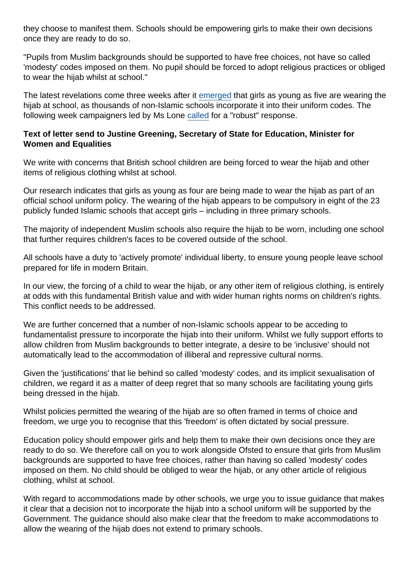they choose to manifest them. Schools should be empowering girls to make their own decisions once they are ready to do so.

"Pupils from Muslim backgrounds should be supported to have free choices, not have so called 'modesty' codes imposed on them. No pupil should be forced to adopt religious practices or obliged to wear the hijab whilst at school."

The latest revelations come three weeks after it [emerged](https://www.thetimes.co.uk/article/5-year-olds-wear-hijab-as-school-uniform-nkzcghfd8) that girls as young as five are wearing the hijab at school, as thousands of non-Islamic schools incorporate it into their uniform codes. The following week campaigners led by Ms Lone [called](http://nss.cuttlefish.com/https://www.secularism.org.uk/news/2017/09/campaigners-raise-concern-over-hijab-in-primary-schools) for a "robust" response.

Text of letter send to Justine Greening, Secretary of State for Education, Minister for Women and Equalities

We write with concerns that British school children are being forced to wear the hijab and other items of religious clothing whilst at school.

Our research indicates that girls as young as four are being made to wear the hijab as part of an official school uniform policy. The wearing of the hijab appears to be compulsory in eight of the 23 publicly funded Islamic schools that accept girls – including in three primary schools.

The majority of independent Muslim schools also require the hijab to be worn, including one school that further requires children's faces to be covered outside of the school.

All schools have a duty to 'actively promote' individual liberty, to ensure young people leave school prepared for life in modern Britain.

In our view, the forcing of a child to wear the hijab, or any other item of religious clothing, is entirely at odds with this fundamental British value and with wider human rights norms on children's rights. This conflict needs to be addressed.

We are further concerned that a number of non-Islamic schools appear to be acceding to fundamentalist pressure to incorporate the hijab into their uniform. Whilst we fully support efforts to allow children from Muslim backgrounds to better integrate, a desire to be 'inclusive' should not automatically lead to the accommodation of illiberal and repressive cultural norms.

Given the 'justifications' that lie behind so called 'modesty' codes, and its implicit sexualisation of children, we regard it as a matter of deep regret that so many schools are facilitating young girls being dressed in the hijab.

Whilst policies permitted the wearing of the hijab are so often framed in terms of choice and freedom, we urge you to recognise that this 'freedom' is often dictated by social pressure.

Education policy should empower girls and help them to make their own decisions once they are ready to do so. We therefore call on you to work alongside Ofsted to ensure that girls from Muslim backgrounds are supported to have free choices, rather than having so called 'modesty' codes imposed on them. No child should be obliged to wear the hijab, or any other article of religious clothing, whilst at school.

With regard to accommodations made by other schools, we urge you to issue guidance that makes it clear that a decision not to incorporate the hijab into a school uniform will be supported by the Government. The guidance should also make clear that the freedom to make accommodations to allow the wearing of the hijab does not extend to primary schools.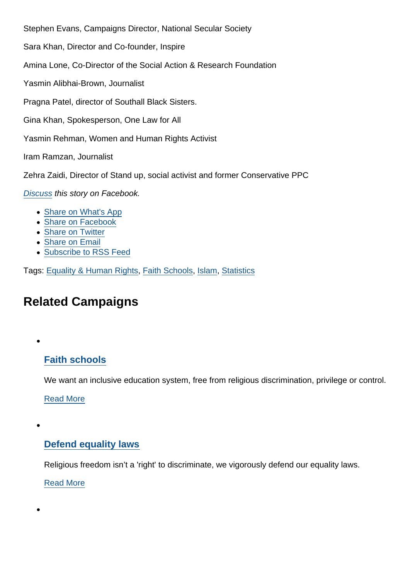Stephen Evans, Campaigns Director, National Secular Society

Sara Khan, Director and Co-founder, Inspire

Amina Lone, Co-Director of the Social Action & Research Foundation

Yasmin Alibhai-Brown, Journalist

Pragna Patel, director of Southall Black Sisters.

Gina Khan, Spokesperson, One Law for All

Yasmin Rehman, Women and Human Rights Activist

Iram Ramzan, Journalist

Zehra Zaidi, Director of Stand up, social activist and former Conservative PPC

[Discuss](https://www.facebook.com/NationalSecularSociety/photos/a.319417491459942.75367.125931370808556/1504839179584428/?type=3&theater) this story on Facebook.

- [Share on What's App](whatsapp://send?text=http://www.secularism.org.uk/news/2017/09/girls-forced-to-wear-hijabs-in-english-schools-nss-reveals?format=pdf)
- [Share on Facebook](https://www.facebook.com/sharer/sharer.php?u=http://www.secularism.org.uk/news/2017/09/girls-forced-to-wear-hijabs-in-english-schools-nss-reveals?format=pdf&t=Girls+forced+to+wear+hijabs+in+English+schools,+NSS+reveals)
- [Share on Twitter](https://twitter.com/intent/tweet?url=http://www.secularism.org.uk/news/2017/09/girls-forced-to-wear-hijabs-in-english-schools-nss-reveals?format=pdf&text=Girls+forced+to+wear+hijabs+in+English+schools,+NSS+reveals&via=NatSecSoc)
- [Share on Email](https://www.secularism.org.uk/share.html?url=http://www.secularism.org.uk/news/2017/09/girls-forced-to-wear-hijabs-in-english-schools-nss-reveals?format=pdf&title=Girls+forced+to+wear+hijabs+in+English+schools,+NSS+reveals)
- [Subscribe to RSS Feed](/mnt/web-data/www/cp-nss/feeds/rss/news)

Tags: [Equality & Human Rights,](https://www.secularism.org.uk/news/tags/Equality+&+Human+Rights) [Faith Schools](https://www.secularism.org.uk/news/tags/Faith+Schools), [Islam](https://www.secularism.org.uk/news/tags/Islam), [Statistics](https://www.secularism.org.uk/news/tags/Statistics)

## Related Campaigns

## [Faith schools](https://www.secularism.org.uk/faith-schools/)

We want an inclusive education system, free from religious discrimination, privilege or control.

[Read More](https://www.secularism.org.uk/faith-schools/)

[Defend equality laws](https://www.secularism.org.uk/defend-equality-laws/)

Religious freedom isn't a 'right' to discriminate, we vigorously defend our equality laws.

[Read More](https://www.secularism.org.uk/defend-equality-laws/)